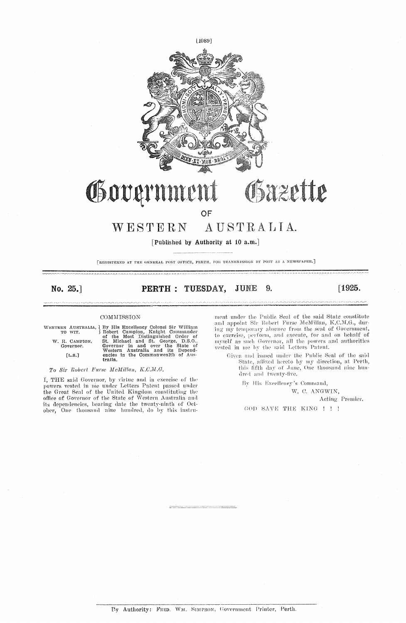

## Governmer Gazette

### OF

#### WESTERN AUSTRALIA.

[Published by Authority at 10 a.m.]

[REGISTERED AT THE GENERAL POST OFFICE, PERTH, FOR TRANSMISSION BY POST AS A NEWSPAPER.]

### No. 25.

#### 9. PERTH : TUESDAY, JUNE

COMMISSION

|        | TO WIT.                     | WESTERN AUSTRALIA, ¿ By His Excellency Colonel Sir William<br>Robert Campion, Knight Commander<br>of the Most Distinguished Order of |
|--------|-----------------------------|--------------------------------------------------------------------------------------------------------------------------------------|
|        | W. R. CAMPION.<br>Governor. | St. Michael and St. George, D.S.O.,<br>Governor in and over the State of<br>Western Australia and its Depend-                        |
| [L.S.] |                             | encies in the Commonwealth of Aus-<br>tralia.                                                                                        |

To Sir Robert Furse McMillan, K.C.M.G.

I, THE said Governor, by virtue and in exercise of the powers vested in me under Letters Patent passed under the Great Seal of the United Kingdom constituting the office of Governor of the State of Western Australia and once of covering date the twenty-ninth of October, One thousand nine hundred, do by this instru-

ment under the Public Seal of the said State constitute ment under the Public Seal of the said State constitute<br>and appoint Sir Robert Furse McMillan, K.C.M.G., dur-<br>ing my temporary absence from the seat of Government,<br>to exercise, perform, and execute, for and on behalf of<br>my

Given and issued under the Public Seal of the said State, affixed hereto by my direction, at Perth, this fifth day of June, One thousand nine hundred and twenty-five.

By His Excellency's Command,

W. C. ANGWIN,

Acting Premier.

 $[1925.$ 

GOD SAVE THE KING ! ! !